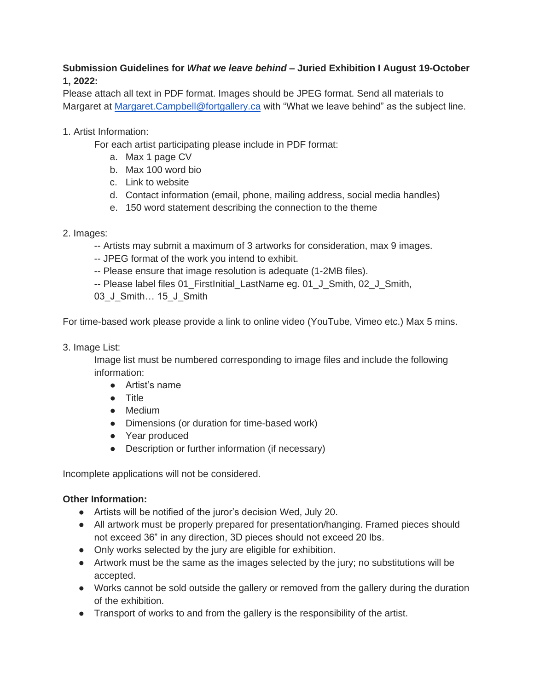## **Submission Guidelines for** *What we leave behind* **– Juried Exhibition I August 19-October 1, 2022:**

Please attach all text in PDF format. Images should be JPEG format. Send all materials to Margaret at [Margaret.Campbell@fortgallery.ca](mailto:Margaret.Campbell@fortgallery.ca) with "What we leave behind" as the subject line.

## 1. Artist Information:

For each artist participating please include in PDF format:

- a. Max 1 page CV
- b. Max 100 word bio
- c. Link to website
- d. Contact information (email, phone, mailing address, social media handles)
- e. 150 word statement describing the connection to the theme
- 2. Images:
	- -- Artists may submit a maximum of 3 artworks for consideration, max 9 images.
	- -- JPEG format of the work you intend to exhibit.
	- -- Please ensure that image resolution is adequate (1-2MB files).
	- -- Please label files 01\_FirstInitial\_LastName eg. 01\_J\_Smith, 02\_J\_Smith,

03 J Smith… 15 J Smith

For time-based work please provide a link to online video (YouTube, Vimeo etc.) Max 5 mins.

3. Image List:

Image list must be numbered corresponding to image files and include the following information:

- Artist's name
- Title
- Medium
- Dimensions (or duration for time-based work)
- Year produced
- Description or further information (if necessary)

Incomplete applications will not be considered.

## **Other Information:**

- Artists will be notified of the juror's decision Wed, July 20.
- All artwork must be properly prepared for presentation/hanging. Framed pieces should not exceed 36" in any direction, 3D pieces should not exceed 20 lbs.
- Only works selected by the jury are eligible for exhibition.
- Artwork must be the same as the images selected by the jury; no substitutions will be accepted.
- Works cannot be sold outside the gallery or removed from the gallery during the duration of the exhibition.
- Transport of works to and from the gallery is the responsibility of the artist.